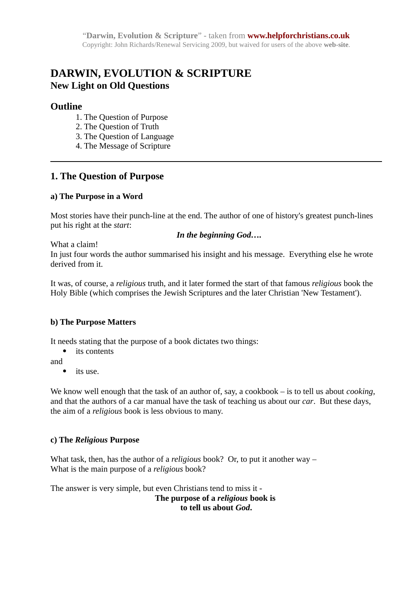# **DARWIN, EVOLUTION & SCRIPTURE New Light on Old Questions**

### **Outline**

- 1. The Question of Purpose
- 2. The Question of Truth
- 3. The Question of Language
- 4. The Message of Scripture

### **1. The Question of Purpose**

### **a) The Purpose in a Word**

Most stories have their punch-line at the end. The author of one of history's greatest punch-lines put his right at the *start*:

#### *In the beginning God….*

What a claim!

In just four words the author summarised his insight and his message. Everything else he wrote derived from it.

It was, of course, a *religious* truth, and it later formed the start of that famous *religious* book the Holy Bible (which comprises the Jewish Scriptures and the later Christian 'New Testament').

### **b) The Purpose Matters**

It needs stating that the purpose of a book dictates two things:

• its contents

and

• its use.

We know well enough that the task of an author of, say, a cookbook – is to tell us about *cooking*, and that the authors of a car manual have the task of teaching us about our *car*. But these days, the aim of a *religious* book is less obvious to many.

### **c) The** *Religious* **Purpose**

What task, then, has the author of a *religious* book? Or, to put it another way – What is the main purpose of a *religious* book?

The answer is very simple, but even Christians tend to miss it -

**The purpose of a** *religious* **book is to tell us about** *God***.**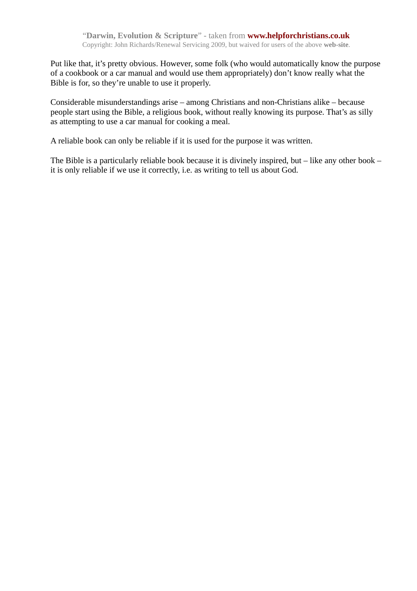Put like that, it's pretty obvious. However, some folk (who would automatically know the purpose of a cookbook or a car manual and would use them appropriately) don't know really what the Bible is for, so they're unable to use it properly.

Considerable misunderstandings arise – among Christians and non-Christians alike – because people start using the Bible, a religious book, without really knowing its purpose. That's as silly as attempting to use a car manual for cooking a meal.

A reliable book can only be reliable if it is used for the purpose it was written.

The Bible is a particularly reliable book because it is divinely inspired, but – like any other book – it is only reliable if we use it correctly, i.e. as writing to tell us about God.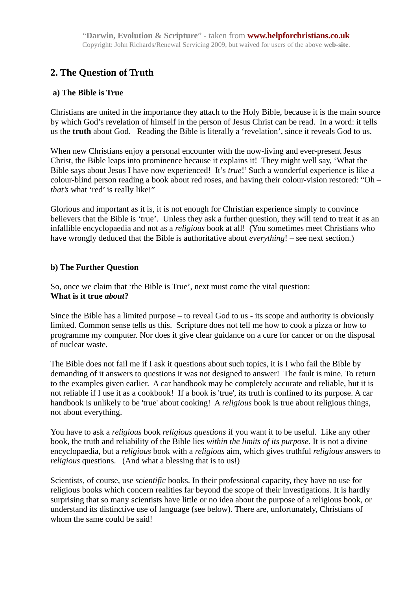## **2. The Question of Truth**

### **a) The Bible is True**

Christians are united in the importance they attach to the Holy Bible, because it is the main source by which God's revelation of himself in the person of Jesus Christ can be read. In a word: it tells us the **truth** about God. Reading the Bible is literally a 'revelation', since it reveals God to us.

When new Christians enjoy a personal encounter with the now-living and ever-present Jesus Christ, the Bible leaps into prominence because it explains it! They might well say, 'What the Bible says about Jesus I have now experienced! It's *true*!' Such a wonderful experience is like a colour-blind person reading a book about red roses, and having their colour-vision restored: "Oh – *that's* what 'red' is really like!"

Glorious and important as it is, it is not enough for Christian experience simply to convince believers that the Bible is 'true'. Unless they ask a further question, they will tend to treat it as an infallible encyclopaedia and not as a *religious* book at all! (You sometimes meet Christians who have wrongly deduced that the Bible is authoritative about *everything*! – see next section.)

### **b) The Further Question**

So, once we claim that 'the Bible is True', next must come the vital question: **What is it true** *about***?**

Since the Bible has a limited purpose – to reveal God to us - its scope and authority is obviously limited. Common sense tells us this. Scripture does not tell me how to cook a pizza or how to programme my computer. Nor does it give clear guidance on a cure for cancer or on the disposal of nuclear waste.

The Bible does not fail me if I ask it questions about such topics, it is I who fail the Bible by demanding of it answers to questions it was not designed to answer! The fault is mine. To return to the examples given earlier. A car handbook may be completely accurate and reliable, but it is not reliable if I use it as a cookbook! If a book is 'true', its truth is confined to its purpose. A car handbook is unlikely to be 'true' about cooking! A *religious* book is true about religious things, not about everything.

You have to ask a *religious* book *religious questions* if you want it to be useful. Like any other book, the truth and reliability of the Bible lies *within the limits of its purpose.* It is not a divine encyclopaedia, but a *religious* book with a *religious* aim, which gives truthful *religious* answers to *religious* questions. (And what a blessing that is to us!)

Scientists, of course, use *scientific* books. In their professional capacity, they have no use for religious books which concern realities far beyond the scope of their investigations. It is hardly surprising that so many scientists have little or no idea about the purpose of a religious book, or understand its distinctive use of language (see below). There are, unfortunately, Christians of whom the same could be said!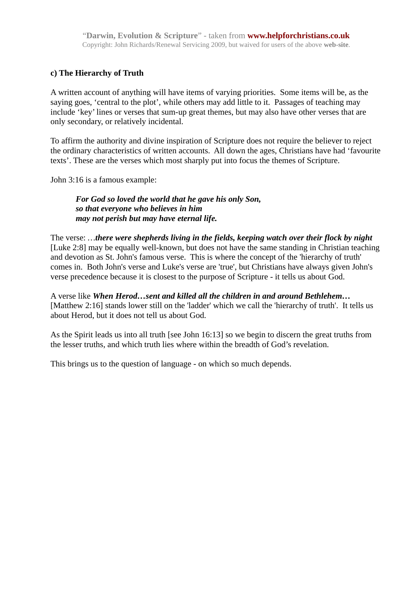### **c) The Hierarchy of Truth**

A written account of anything will have items of varying priorities. Some items will be, as the saying goes, 'central to the plot', while others may add little to it. Passages of teaching may include 'key' lines or verses that sum-up great themes, but may also have other verses that are only secondary, or relatively incidental.

To affirm the authority and divine inspiration of Scripture does not require the believer to reject the ordinary characteristics of written accounts. All down the ages, Christians have had 'favourite texts'. These are the verses which most sharply put into focus the themes of Scripture.

John 3:16 is a famous example:

### *For God so loved the world that he gave his only Son, so that everyone who believes in him may not perish but may have eternal life.*

The verse: *…there were shepherds living in the fields, keeping watch over their flock by night* [Luke 2:8] may be equally well-known, but does not have the same standing in Christian teaching and devotion as St. John's famous verse. This is where the concept of the 'hierarchy of truth' comes in. Both John's verse and Luke's verse are 'true', but Christians have always given John's verse precedence because it is closest to the purpose of Scripture - it tells us about God.

A verse like *When Herod…sent and killed all the children in and around Bethlehem…* [Matthew 2:16] stands lower still on the 'ladder' which we call the 'hierarchy of truth'. It tells us about Herod, but it does not tell us about God.

As the Spirit leads us into all truth [see John 16:13] so we begin to discern the great truths from the lesser truths, and which truth lies where within the breadth of God's revelation.

This brings us to the question of language - on which so much depends.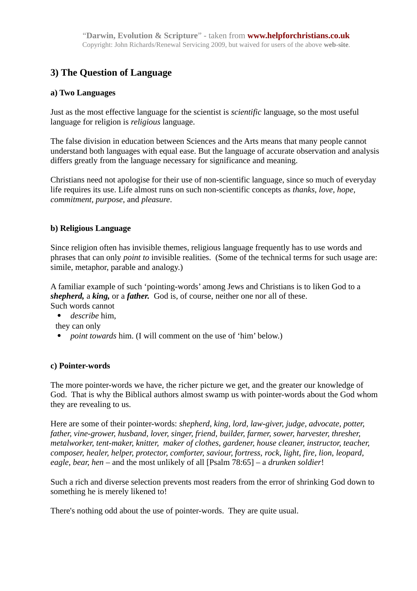## **3) The Question of Language**

### **a) Two Languages**

Just as the most effective language for the scientist is *scientific* language, so the most useful language for religion is *religious* language.

The false division in education between Sciences and the Arts means that many people cannot understand both languages with equal ease. But the language of accurate observation and analysis differs greatly from the language necessary for significance and meaning.

Christians need not apologise for their use of non-scientific language, since so much of everyday life requires its use. Life almost runs on such non-scientific concepts as *thanks, love, hope, commitment, purpose,* and *pleasure*.

### **b) Religious Language**

Since religion often has invisible themes, religious language frequently has to use words and phrases that can only *point to* invisible realities. (Some of the technical terms for such usage are: simile, metaphor, parable and analogy.)

A familiar example of such 'pointing-words' among Jews and Christians is to liken God to a *shepherd,* a *king,* or a *father.* God is, of course, neither one nor all of these.

Such words cannot

*describe* him,

they can only

*point towards* him. (I will comment on the use of 'him' below.)

#### **c) Pointer-words**

The more pointer-words we have, the richer picture we get, and the greater our knowledge of God. That is why the Biblical authors almost swamp us with pointer-words about the God whom they are revealing to us.

Here are some of their pointer-words: *shepherd, king, lord, law-giver, judge, advocate, potter, father, vine-grower, husband, lover, singer, friend, builder, farmer, sower, harvester, thresher, metalworker, tent-maker, knitter, maker of clothes, gardener, house cleaner, instructor, teacher, composer, healer, helper, protector, comforter, saviour, fortress, rock, light, fire, lion, leopard, eagle, bear, hen –* and the most unlikely of all [Psalm 78:65] – a *drunken soldier*!

Such a rich and diverse selection prevents most readers from the error of shrinking God down to something he is merely likened to!

There's nothing odd about the use of pointer-words. They are quite usual.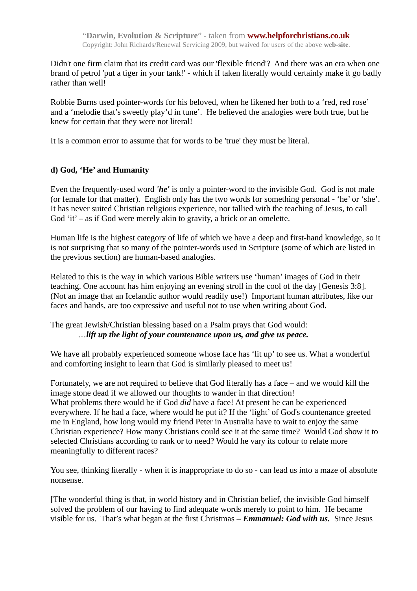Didn't one firm claim that its credit card was our 'flexible friend'? And there was an era when one brand of petrol 'put a tiger in your tank!' - which if taken literally would certainly make it go badly rather than well!

Robbie Burns used pointer-words for his beloved, when he likened her both to a 'red, red rose' and a 'melodie that's sweetly play'd in tune'. He believed the analogies were both true, but he knew for certain that they were not literal!

It is a common error to assume that for words to be 'true' they must be literal.

### **d) God, 'He' and Humanity**

Even the frequently-used word *'he'* is only a pointer-word to the invisible God. God is not male (or female for that matter). English only has the two words for something personal - 'he' or 'she'. It has never suited Christian religious experience, nor tallied with the teaching of Jesus, to call God 'it' – as if God were merely akin to gravity, a brick or an omelette.

Human life is the highest category of life of which we have a deep and first-hand knowledge, so it is not surprising that so many of the pointer-words used in Scripture (some of which are listed in the previous section) are human-based analogies.

Related to this is the way in which various Bible writers use 'human' images of God in their teaching. One account has him enjoying an evening stroll in the cool of the day [Genesis 3:8]. (Not an image that an Icelandic author would readily use!) Important human attributes, like our faces and hands, are too expressive and useful not to use when writing about God.

The great Jewish/Christian blessing based on a Psalm prays that God would: …*lift up the light of your countenance upon us, and give us peace.*

We have all probably experienced someone whose face has 'lit up' to see us. What a wonderful and comforting insight to learn that God is similarly pleased to meet us!

Fortunately, we are not required to believe that God literally has a face – and we would kill the image stone dead if we allowed our thoughts to wander in that direction! What problems there would be if God *did* have a face! At present he can be experienced everywhere. If he had a face, where would he put it? If the 'light' of God's countenance greeted me in England, how long would my friend Peter in Australia have to wait to enjoy the same Christian experience? How many Christians could see it at the same time? Would God show it to selected Christians according to rank or to need? Would he vary its colour to relate more meaningfully to different races?

You see, thinking literally - when it is inappropriate to do so - can lead us into a maze of absolute nonsense.

[The wonderful thing is that, in world history and in Christian belief, the invisible God himself solved the problem of our having to find adequate words merely to point to him. He became visible for us. That's what began at the first Christmas – *Emmanuel: God with us.* Since Jesus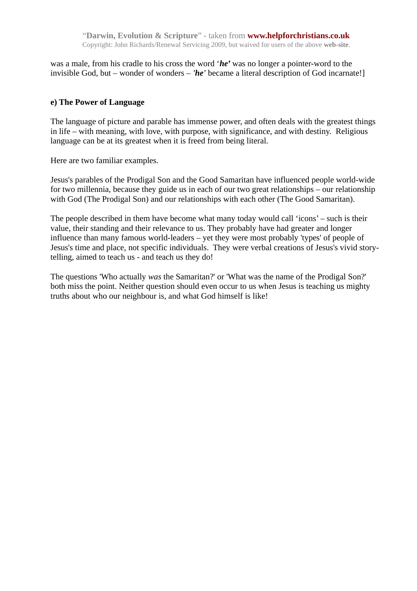was a male, from his cradle to his cross the word '*he*' was no longer a pointer-word to the invisible God, but – wonder of wonders – *'he'* became a literal description of God incarnate!]

### **e) The Power of Language**

The language of picture and parable has immense power, and often deals with the greatest things in life – with meaning, with love, with purpose, with significance, and with destiny. Religious language can be at its greatest when it is freed from being literal.

Here are two familiar examples.

Jesus's parables of the Prodigal Son and the Good Samaritan have influenced people world-wide for two millennia, because they guide us in each of our two great relationships – our relationship with God (The Prodigal Son) and our relationships with each other (The Good Samaritan).

The people described in them have become what many today would call 'icons' – such is their value, their standing and their relevance to us. They probably have had greater and longer influence than many famous world-leaders – yet they were most probably 'types' of people of Jesus's time and place, not specific individuals. They were verbal creations of Jesus's vivid storytelling, aimed to teach us - and teach us they do!

The questions 'Who actually *was* the Samaritan?' or 'What was the name of the Prodigal Son?' both miss the point. Neither question should even occur to us when Jesus is teaching us mighty truths about who our neighbour is, and what God himself is like!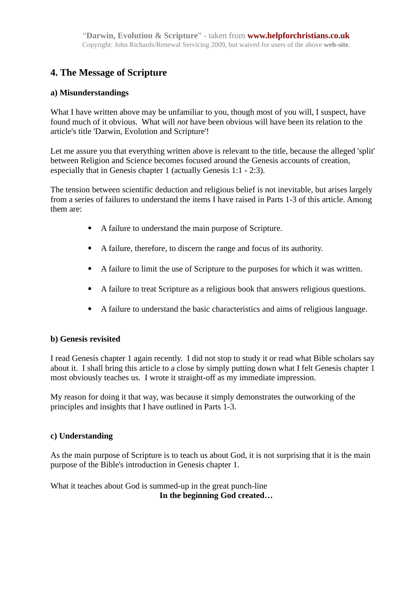## **4. The Message of Scripture**

### **a) Misunderstandings**

What I have written above may be unfamiliar to you, though most of you will, I suspect, have found much of it obvious. What will *not* have been obvious will have been its relation to the article's title 'Darwin, Evolution and Scripture'!

Let me assure you that everything written above is relevant to the title, because the alleged 'split' between Religion and Science becomes focused around the Genesis accounts of creation, especially that in Genesis chapter 1 (actually Genesis 1:1 - 2:3).

The tension between scientific deduction and religious belief is not inevitable, but arises largely from a series of failures to understand the items I have raised in Parts 1-3 of this article. Among them are:

- A failure to understand the main purpose of Scripture.
- A failure, therefore, to discern the range and focus of its authority.
- A failure to limit the use of Scripture to the purposes for which it was written.
- A failure to treat Scripture as a religious book that answers religious questions.
- A failure to understand the basic characteristics and aims of religious language.

### **b) Genesis revisited**

I read Genesis chapter 1 again recently. I did not stop to study it or read what Bible scholars say about it. I shall bring this article to a close by simply putting down what I felt Genesis chapter 1 most obviously teaches us. I wrote it straight-off as my immediate impression.

My reason for doing it that way, was because it simply demonstrates the outworking of the principles and insights that I have outlined in Parts 1-3.

### **c) Understanding**

As the main purpose of Scripture is to teach us about God, it is not surprising that it is the main purpose of the Bible's introduction in Genesis chapter 1.

What it teaches about God is summed-up in the great punch-line **In the beginning God created…**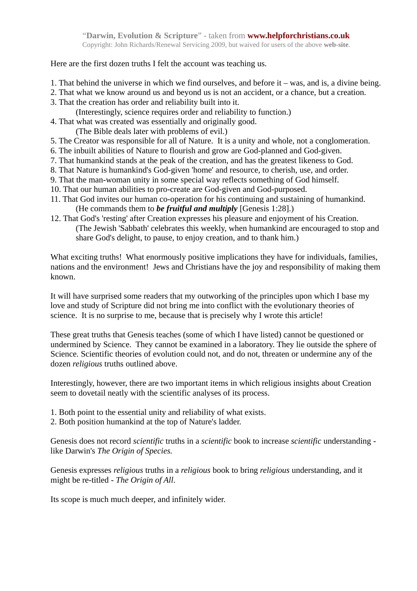Here are the first dozen truths I felt the account was teaching us.

- 1. That behind the universe in which we find ourselves, and before it was, and is, a divine being.
- 2. That what we know around us and beyond us is not an accident, or a chance, but a creation.
- 3. That the creation has order and reliability built into it.
	- (Interestingly, science requires order and reliability to function.)
- 4. That what was created was essentially and originally good.
	- (The Bible deals later with problems of evil.)
- 5. The Creator was responsible for all of Nature. It is a unity and whole, not a conglomeration.
- 6. The inbuilt abilities of Nature to flourish and grow are God-planned and God-given.
- 7. That humankind stands at the peak of the creation, and has the greatest likeness to God.
- 8. That Nature is humankind's God-given 'home' and resource, to cherish, use, and order.
- 9. That the man-woman unity in some special way reflects something of God himself.
- 10. That our human abilities to pro-create are God-given and God-purposed.
- 11. That God invites our human co-operation for his continuing and sustaining of humankind. (He commands them to *be fruitful and multiply* [Genesis 1:28].)
- 12. That God's 'resting' after Creation expresses his pleasure and enjoyment of his Creation. (The Jewish 'Sabbath' celebrates this weekly, when humankind are encouraged to stop and share God's delight, to pause, to enjoy creation, and to thank him.)

What exciting truths! What enormously positive implications they have for individuals, families, nations and the environment! Jews and Christians have the joy and responsibility of making them known.

It will have surprised some readers that my outworking of the principles upon which I base my love and study of Scripture did not bring me into conflict with the evolutionary theories of science. It is no surprise to me, because that is precisely why I wrote this article!

These great truths that Genesis teaches (some of which I have listed) cannot be questioned or undermined by Science. They cannot be examined in a laboratory. They lie outside the sphere of Science. Scientific theories of evolution could not, and do not, threaten or undermine any of the dozen *religious* truths outlined above.

Interestingly, however, there are two important items in which religious insights about Creation seem to dovetail neatly with the scientific analyses of its process.

- 1. Both point to the essential unity and reliability of what exists.
- 2. Both position humankind at the top of Nature's ladder.

Genesis does not record *scientific* truths in a *scientific* book to increase *scientific* understanding like Darwin's *The Origin of Species.*

Genesis expresses *religious* truths in a *religious* book to bring *religious* understanding, and it might be re-titled - *The Origin of All*.

Its scope is much much deeper, and infinitely wider.